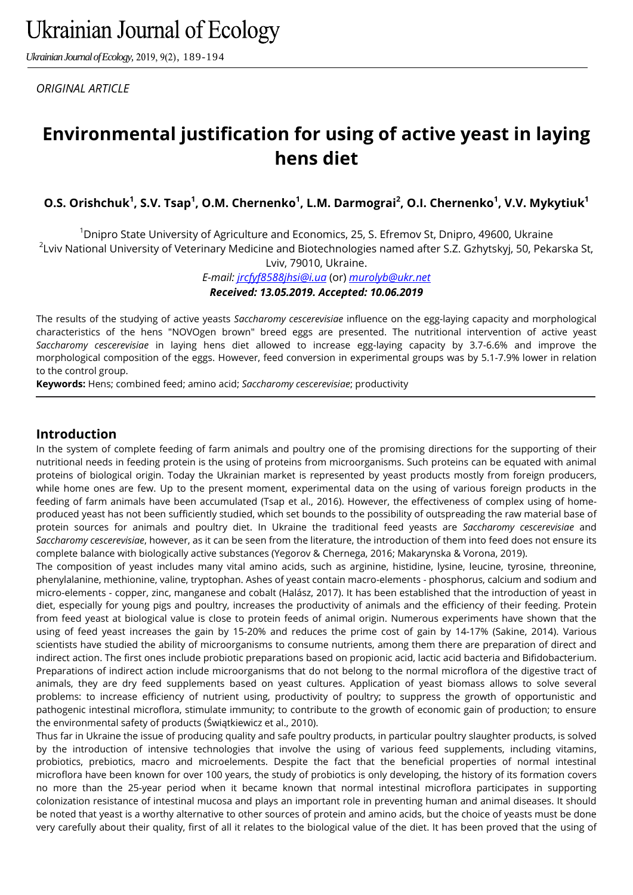*Ukrainian Journal of Ecology,* 2019, 9(2), 189-194

*ORIGINAL ARTICLE*

# **Environmental justification for using of active yeast in laying hens diet**

**O.S. Orishchuk<sup>1</sup> , S.V. Tsap<sup>1</sup> , O.M. Chernenko<sup>1</sup> , L.M. Darmograi<sup>2</sup> , O.I. Chernenko<sup>1</sup> , V.V. Mykytiuk<sup>1</sup>**

<sup>1</sup>Dnipro State University of Agriculture and Economics, 25, S. Efremov St, Dnipro, 49600, Ukraine  $^2$ Lviv National University of Veterinary Medicine and Biotechnologies named after S.Z. Gzhytskyj, 50, Pekarska St, Lviv, 79010, Ukraine.

*E*-*mail: [jrcfyf8588jhsi@i.ua](mailto:jrcfyf8588jhsi@i.ua)* (or) *[murolyb@ukr.net](mailto:murolyb@ukr.net) Received: 13.05.2019. Accepted: 10.06.2019*

The results of the studying of active yeasts *Saccharomy cescerevisiae* influence on the egg-laying capacity and morphological characteristics of the hens "NOVOgen brown" breed eggs are presented. The nutritional intervention of active yeast *Saccharomy cescerevisiae* in laying hens diet allowed to increase egg-laying capacity by 3.7-6.6% and improve the morphological composition of the eggs. However, feed conversion in experimental groups was by 5.1-7.9% lower in relation to the control group.

**Keywords:** Hens; combined feed; amino acid; *Saccharomy cescerevisiae*; productivity

#### **Introduction**

In the system of complete feeding of farm animals and poultry one of the promising directions for the supporting of their nutritional needs in feeding protein is the using of proteins from microorganisms. Such proteins can be equated with animal proteins of biological origin. Today the Ukrainian market is represented by yeast products mostly from foreign producers, while home ones are few. Up to the present moment, experimental data on the using of various foreign products in the feeding of farm animals have been accumulated (Tsap et al., 2016). However, the effectiveness of complex using of homeproduced yeast has not been sufficiently studied, which set bounds to the possibility of outspreading the raw material base of protein sources for animals and poultry diet. In Ukraine the traditional feed yeasts are *Saccharomy cescerevisiae* and *Saccharomy cescerevisiae*, however, as it can be seen from the literature, the introduction of them into feed does not ensure its complete balance with biologically active substances (Yegorov & Chernega, 2016; Makarynska & Vorona, 2019).

The composition of yeast includes many vital amino acids, such as arginine, histidine, lysine, leucine, tyrosine, threonine, phenylalanine, methionine, valine, tryptophan. Ashes of yeast contain macro-elements - phosphorus, calcium and sodium and micro-elements - copper, zinc, manganese and cobalt (Halász, 2017). It has been established that the introduction of yeast in diet, especially for young pigs and poultry, increases the productivity of animals and the efficiency of their feeding. Protein from feed yeast at biological value is close to protein feeds of animal origin. Numerous experiments have shown that the using of feed yeast increases the gain by 15-20% and reduces the prime cost of gain by 14-17% (Sakine, 2014). Various scientists have studied the ability of microorganisms to consume nutrients, among them there are preparation of direct and indirect action. The first ones include probiotic preparations based on propionic acid, lactic acid bacteria and Bifidobacterium. Preparations of indirect action include microorganisms that do not belong to the normal microflora of the digestive tract of animals, they are dry feed supplements based on yeast cultures. Application of yeast biomass allows to solve several problems: to increase efficiency of nutrient using, productivity of poultry; to suppress the growth of opportunistic and pathogenic intestinal microflora, stimulate immunity; to contribute to the growth of economic gain of production; to ensure the environmental safety of products (Świątkiewicz et al., 2010).

Thus far in Ukraine the issue of producing quality and safe poultry products, in particular poultry slaughter products, is solved by the introduction of intensive technologies that involve the using of various feed supplements, including vitamins, probiotics, prebiotics, macro and microelements. Despite the fact that the beneficial properties of normal intestinal microflora have been known for over 100 years, the study of probiotics is only developing, the history of its formation covers no more than the 25-year period when it became known that normal intestinal microflora participates in supporting colonization resistance of intestinal mucosa and plays an important role in preventing human and animal diseases. It should be noted that yeast is a worthy alternative to other sources of protein and amino acids, but the choice of yeasts must be done very carefully about their quality, first of all it relates to the biological value of the diet. It has been proved that the using of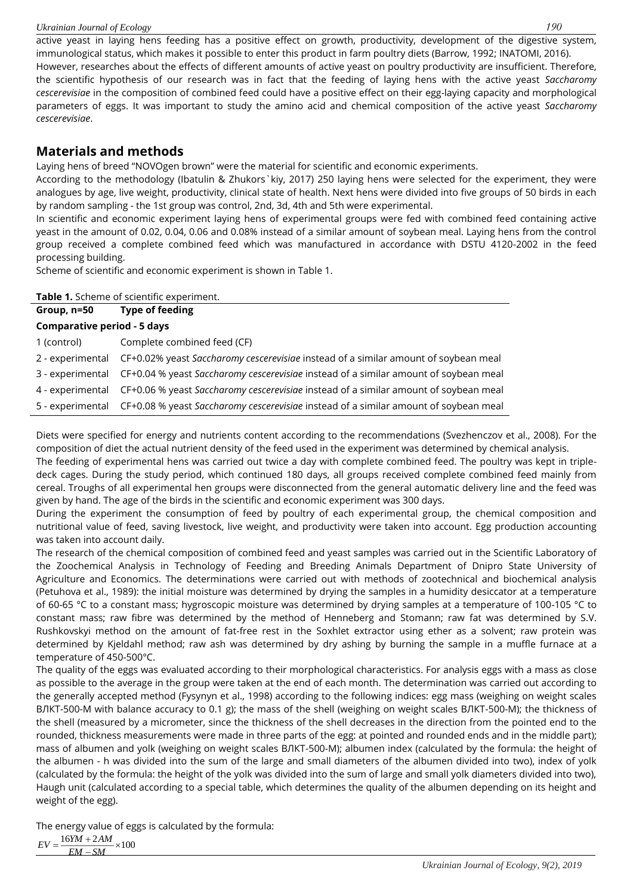#### *Ukrainian Journal of Ecology 190*

active yeast in laying hens feeding has a positive effect on growth, productivity, development of the digestive system, immunological status, which makes it possible to enter this product in farm poultry diets (Barrow, 1992; INATOMI, 2016). However, researches about the effects of different amounts of active yeast on poultry productivity are insufficient. Therefore, the scientific hypothesis of our research was in fact that the feeding of laying hens with the active yeast *Saccharomy cescerevisiae* in the composition of combined feed could have a positive effect on their egg-laying capacity and morphological parameters of eggs. It was important to study the amino acid and chemical composition of the active yeast *Saccharomy cescerevisiae*.

# **Materials and methods**

Laying hens of breed "NOVOgen brown" were the material for scientific and economic experiments.

According to the methodology (Ibatulin & Zhukors`kiy, 2017) 250 laying hens were selected for the experiment, they were analogues by age, live weight, productivity, clinical state of health. Next hens were divided into five groups of 50 birds in each by random sampling - the 1st group was control, 2nd, 3d, 4th and 5th were experimental.

In scientific and economic experiment laying hens of experimental groups were fed with combined feed containing active yeast in the amount of 0.02, 0.04, 0.06 and 0.08% instead of a similar amount of soybean meal. Laying hens from the control group received a complete combined feed which was manufactured in accordance with DSTU 4120-2002 in the feed processing building.

Scheme of scientific and economic experiment is shown in Table 1.

| Table 1. Scheme of scientific experiment.                                                             |  |  |  |  |  |
|-------------------------------------------------------------------------------------------------------|--|--|--|--|--|
| Type of feeding                                                                                       |  |  |  |  |  |
| <b>Comparative period - 5 days</b>                                                                    |  |  |  |  |  |
| Complete combined feed (CF)                                                                           |  |  |  |  |  |
| CF+0.02% yeast Saccharomy cescerevisiae instead of a similar amount of soybean meal                   |  |  |  |  |  |
| CF+0.04 % yeast Saccharomy cescerevisiae instead of a similar amount of soybean meal                  |  |  |  |  |  |
| CF+0.06 % yeast Saccharomy cescerevisiae instead of a similar amount of soybean meal                  |  |  |  |  |  |
| 5 - experimental CF+0.08 % yeast Saccharomy cescerevisiae instead of a similar amount of soybean meal |  |  |  |  |  |
|                                                                                                       |  |  |  |  |  |

Diets were specified for energy and nutrients content according to the recommendations (Svezhenczov et al., 2008). For the composition of diet the actual nutrient density of the feed used in the experiment was determined by chemical analysis.

The feeding of experimental hens was carried out twice a day with complete combined feed. The poultry was kept in tripledeck cages. During the study period, which continued 180 days, all groups received complete combined feed mainly from cereal. Troughs of all experimental hen groups were disconnected from the general automatic delivery line and the feed was given by hand. The age of the birds in the scientific and economic experiment was 300 days.

During the experiment the consumption of feed by poultry of each experimental group, the chemical composition and nutritional value of feed, saving livestock, live weight, and productivity were taken into account. Egg production accounting was taken into account daily.

The research of the chemical composition of combined feed and yeast samples was carried out in the Scientific Laboratory of the Zoochemical Analysis in Technology of Feeding and Breeding Animals Department of Dnipro State University of Agriculture and Economics. The determinations were carried out with methods of zootechnical and biochemical analysis (Petuhova et al., 1989): the initial moisture was determined by drying the samples in a humidity desiccator at a temperature of 60-65 °C to a constant mass; hygroscopic moisture was determined by drying samples at a temperature of 100-105 °C to constant mass; raw fibre was determined by the method of Henneberg and Stomann; raw fat was determined by S.V. Rushkovskyi method on the amount of fat-free rest in the Soxhlet extractor using ether as a solvent; raw protein was determined by Kjeldahl method; raw ash was determined by dry ashing by burning the sample in a muffle furnace at a temperature of 450-500°C.

The quality of the eggs was evaluated according to their morphological characteristics. For analysis eggs with a mass as close as possible to the average in the group were taken at the end of each month. The determination was carried out according to the generally accepted method (Fysynyn et al., 1998) according to the following indices: egg mass (weighing on weight scales ВЛКТ-500-M with balance accuracy to 0.1 g); the mass of the shell (weighing on weight scales ВЛКТ-500-M); the thickness of the shell (measured by a micrometer, since the thickness of the shell decreases in the direction from the pointed end to the rounded, thickness measurements were made in three parts of the egg: at pointed and rounded ends and in the middle part); mass of albumen and yolk (weighing on weight scales ВЛКТ-500-M); albumen index (calculated by the formula: the height of the albumen - h was divided into the sum of the large and small diameters of the albumen divided into two), index of yolk (calculated by the formula: the height of the yolk was divided into the sum of large and small yolk diameters divided into two), Haugh unit (calculated according to a special table, which determines the quality of the albumen depending on its height and weight of the egg).

The energy value of eggs is calculated by the formula:

 $EV = \frac{16YM + 2AM}{2} \times 100$ *EM SM*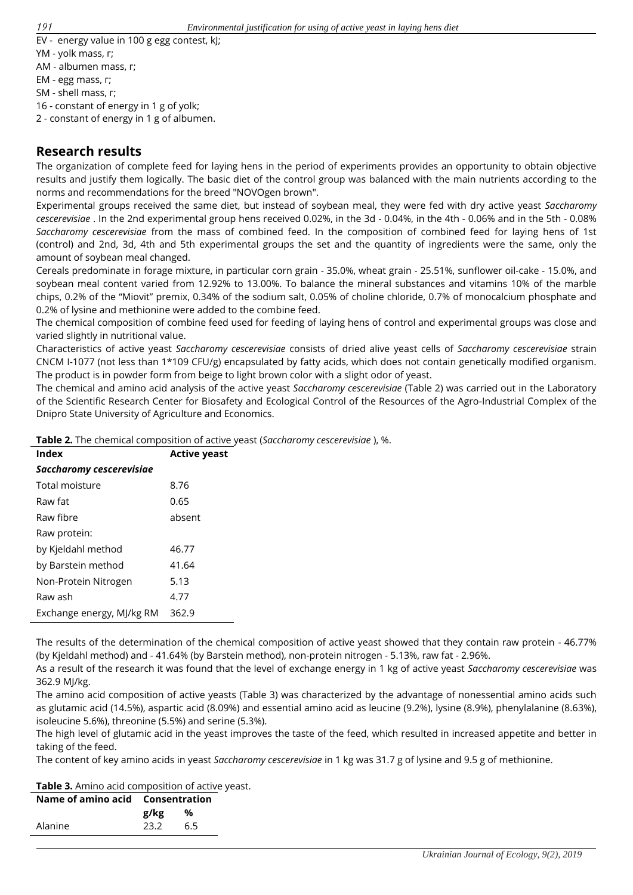- EV energy value in 100 g egg contest, kJ;
- YM yolk mass, г;
- AM albumen mass, г;
- EM egg mass, г;
- SM shell mass, г;

16 - constant of energy in 1 g of yolk;

2 - constant of energy in 1 g of albumen.

### **Research results**

The organization of complete feed for laying hens in the period of experiments provides an opportunity to obtain objective results and justify them logically. The basic diet of the control group was balanced with the main nutrients according to the norms and recommendations for the breed "NOVOgen brown".

Experimental groups received the same diet, but instead of soybean meal, they were fed with dry active yeast *Saccharomy cescerevisiae* . In the 2nd experimental group hens received 0.02%, in the 3d - 0.04%, in the 4th - 0.06% and in the 5th - 0.08% *Saccharomy cescerevisiae* from the mass of combined feed. In the composition of combined feed for laying hens of 1st (control) and 2nd, 3d, 4th and 5th experimental groups the set and the quantity of ingredients were the same, only the amount of soybean meal changed.

Cereals predominate in forage mixture, in particular corn grain - 35.0%, wheat grain - 25.51%, sunflower oil-cake - 15.0%, and soybean meal content varied from 12.92% to 13.00%. To balance the mineral substances and vitamins 10% of the marble chips, 0.2% of the "Miovit" premix, 0.34% of the sodium salt, 0.05% of choline chloride, 0.7% of monocalcium phosphate and 0.2% of lysine and methionine were added to the combine feed.

The chemical composition of combine feed used for feeding of laying hens of control and experimental groups was close and varied slightly in nutritional value.

Characteristics of active yeast *Saccharomy cescerevisiae* consists of dried alive yeast cells of *Saccharomy cescerevisiae* strain CNCM I-1077 (not less than 1\*109 CFU/g) encapsulated by fatty acids, which does not contain genetically modified organism. The product is in powder form from beige to light brown color with a slight odor of yeast.

The chemical and amino acid analysis of the active yeast *Saccharomy cescerevisiae* (Table 2) was carried out in the Laboratory of the Scientific Research Center for Biosafety and Ecological Control of the Resources of the Agro-Industrial Complex of the Dnipro State University of Agriculture and Economics.

**Table 2.** The chemical composition of active yeast (*Saccharomy cescerevisiae* ), %.

| Index                     | <b>Active yeast</b> |  |  |  |  |  |
|---------------------------|---------------------|--|--|--|--|--|
| Saccharomy cescerevisiae  |                     |  |  |  |  |  |
| Total moisture            | 8.76                |  |  |  |  |  |
| Raw fat                   | 0.65                |  |  |  |  |  |
| Raw fibre                 | absent              |  |  |  |  |  |
| Raw protein:              |                     |  |  |  |  |  |
| by Kjeldahl method        | 46.77               |  |  |  |  |  |
| by Barstein method        | 41.64               |  |  |  |  |  |
| Non-Protein Nitrogen      | 5.13                |  |  |  |  |  |
| Raw ash                   | 4.77                |  |  |  |  |  |
| Exchange energy, MJ/kg RM | 362.9               |  |  |  |  |  |

The results of the determination of the chemical composition of active yeast showed that they contain raw protein - 46.77% (by Kjeldahl method) and - 41.64% (by Barstein method), non-protein nitrogen - 5.13%, raw fat - 2.96%.

As a result of the research it was found that the level of exchange energy in 1 kg of active yeast *Saccharomy cescerevisiae* was 362.9 MJ/kg.

The amino acid composition of active yeasts (Table 3) was characterized by the advantage of nonessential amino acids such as glutamic acid (14.5%), aspartic acid (8.09%) and essential amino acid as leucine (9.2%), lysine (8.9%), phenylalanine (8.63%), isoleucine 5.6%), threonine (5.5%) and serine (5.3%).

The high level of glutamic acid in the yeast improves the taste of the feed, which resulted in increased appetite and better in taking of the feed.

The content of key amino acids in yeast *Saccharomy cescerevisiae* in 1 kg was 31.7 g of lysine and 9.5 g of methionine.

**Table 3.** Amino acid composition of active yeast.

| Name of amino acid Consentration |      |     |
|----------------------------------|------|-----|
|                                  | g/kg | %   |
| Alanine                          | 23.2 | 6.5 |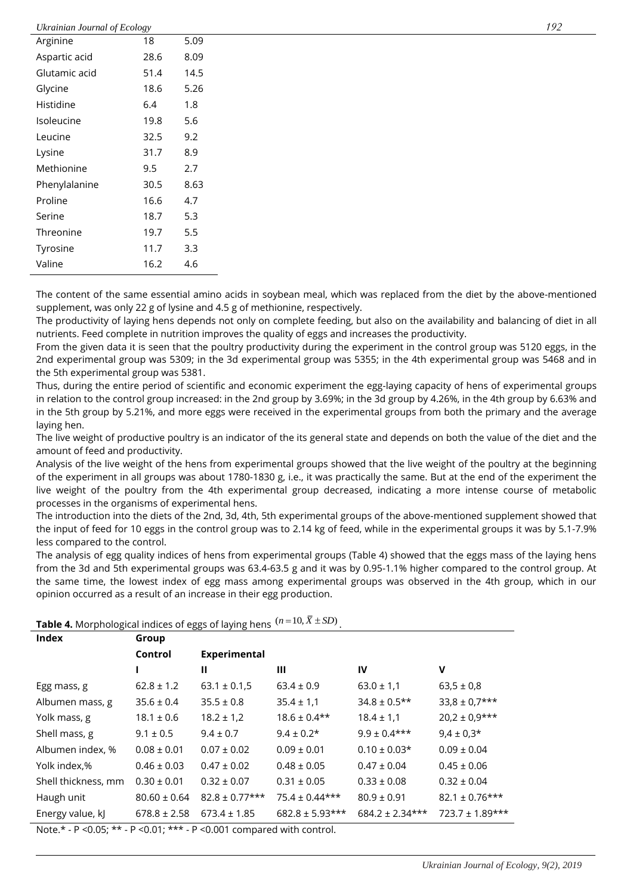#### *Ukrainian Journal of Ecology 192*

|               | ັ້   |      |
|---------------|------|------|
| Arginine      | 18   | 5.09 |
| Aspartic acid | 28.6 | 8.09 |
| Glutamic acid | 51.4 | 14.5 |
| Glycine       | 18.6 | 5.26 |
| Histidine     | 6.4  | 1.8  |
| Isoleucine    | 19.8 | 5.6  |
| Leucine       | 32.5 | 9.2  |
| Lysine        | 31.7 | 8.9  |
| Methionine    | 9.5  | 2.7  |
| Phenylalanine | 30.5 | 8.63 |
| Proline       | 16.6 | 4.7  |
| Serine        | 18.7 | 5.3  |
| Threonine     | 19.7 | 5.5  |
| Tyrosine      | 11.7 | 3.3  |
| Valine        | 16.2 | 4.6  |
|               |      |      |

The content of the same essential amino acids in soybean meal, which was replaced from the diet by the above-mentioned supplement, was only 22 g of lysine and 4.5 g of methionine, respectively.

The productivity of laying hens depends not only on complete feeding, but also on the availability and balancing of diet in all nutrients. Feed complete in nutrition improves the quality of eggs and increases the productivity.

From the given data it is seen that the poultry productivity during the experiment in the control group was 5120 eggs, in the 2nd experimental group was 5309; in the 3d experimental group was 5355; in the 4th experimental group was 5468 and in the 5th experimental group was 5381.

Thus, during the entire period of scientific and economic experiment the egg-laying capacity of hens of experimental groups in relation to the control group increased: in the 2nd group by 3.69%; in the 3d group by 4.26%, in the 4th group by 6.63% and in the 5th group by 5.21%, and more eggs were received in the experimental groups from both the primary and the average laying hen.

The live weight of productive poultry is an indicator of the its general state and depends on both the value of the diet and the amount of feed and productivity.

Analysis of the live weight of the hens from experimental groups showed that the live weight of the poultry at the beginning of the experiment in all groups was about 1780-1830 g, i.e., it was practically the same. But at the end of the experiment the live weight of the poultry from the 4th experimental group decreased, indicating a more intense course of metabolic processes in the organisms of experimental hens.

The introduction into the diets of the 2nd, 3d, 4th, 5th experimental groups of the above-mentioned supplement showed that the input of feed for 10 eggs in the control group was to 2.14 kg of feed, while in the experimental groups it was by 5.1-7.9% less compared to the control.

The analysis of egg quality indices of hens from experimental groups (Table 4) showed that the eggs mass of the laying hens from the 3d and 5th experimental groups was 63.4-63.5 g and it was by 0.95-1.1% higher compared to the control group. At the same time, the lowest index of egg mass among experimental groups was observed in the 4th group, which in our opinion occurred as a result of an increase in their egg production.

| <b>Table 4.</b> Morphological indices of eggs of laying hens $(n=10, X \pm SD)$ . |  |
|-----------------------------------------------------------------------------------|--|
|-----------------------------------------------------------------------------------|--|

| <b>Index</b>        | Group            |                     |                     |                     |                      |
|---------------------|------------------|---------------------|---------------------|---------------------|----------------------|
|                     | Control          | Experimental        |                     |                     |                      |
|                     |                  | Ш                   | Ш                   | <b>IV</b>           | V                    |
| Egg mass, g         | $62.8 \pm 1.2$   | $63.1 \pm 0.1.5$    | $63.4 \pm 0.9$      | $63.0 \pm 1.1$      | $63.5 \pm 0.8$       |
| Albumen mass, g     | $35.6 \pm 0.4$   | $35.5 \pm 0.8$      | $35.4 \pm 1.1$      | $34.8 \pm 0.5$ **   | $33,8 \pm 0.7***$    |
| Yolk mass, g        | $18.1 \pm 0.6$   | $18.2 \pm 1.2$      | $18.6 \pm 0.4$ **   | $18.4 \pm 1.1$      | $20,2 \pm 0.9$ ***   |
| Shell mass, g       | $9.1 \pm 0.5$    | $9.4 \pm 0.7$       | $9.4 \pm 0.2*$      | $9.9 \pm 0.4***$    | $9,4 \pm 0,3$ *      |
| Albumen index, %    | $0.08 \pm 0.01$  | $0.07 \pm 0.02$     | $0.09 \pm 0.01$     | $0.10 \pm 0.03*$    | $0.09 \pm 0.04$      |
| Yolk index,%        | $0.46 \pm 0.03$  | $0.47 \pm 0.02$     | $0.48 \pm 0.05$     | $0.47 \pm 0.04$     | $0.45 \pm 0.06$      |
| Shell thickness, mm | $0.30 \pm 0.01$  | $0.32 \pm 0.07$     | $0.31 \pm 0.05$     | $0.33 \pm 0.08$     | $0.32 \pm 0.04$      |
| Haugh unit          | $80.60 \pm 0.64$ | $82.8 \pm 0.77$ *** | $75.4 \pm 0.44$ *** | $80.9 \pm 0.91$     | $82.1 \pm 0.76$ ***  |
| Energy value, kJ    | $678.8 \pm 2.58$ | $673.4 \pm 1.85$    | $682.8 \pm 5.93***$ | $684.2 \pm 2.34***$ | $723.7 \pm 1.89$ *** |

Note.\* - Р <0.05; \*\* - Р <0.01; \*\*\* - Р <0.001 compared with control.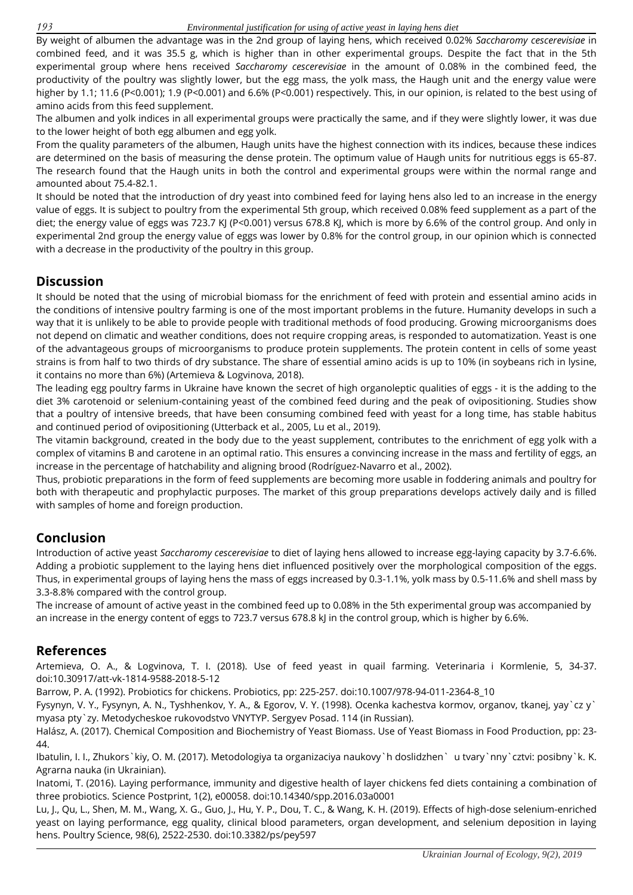By weight of albumen the advantage was in the 2nd group of laying hens, which received 0.02% *Saccharomy cescerevisiae* in combined feed, and it was 35.5 g, which is higher than in other experimental groups. Despite the fact that in the 5th experimental group where hens received *Saccharomy cescerevisiae* in the amount of 0.08% in the combined feed, the productivity of the poultry was slightly lower, but the egg mass, the yolk mass, the Haugh unit and the energy value were higher by 1.1; 11.6 (P<0.001); 1.9 (P<0.001) and 6.6% (P<0.001) respectively. This, in our opinion, is related to the best using of amino acids from this feed supplement.

The albumen and yolk indices in all experimental groups were practically the same, and if they were slightly lower, it was due to the lower height of both egg albumen and egg yolk.

From the quality parameters of the albumen, Haugh units have the highest connection with its indices, because these indices are determined on the basis of measuring the dense protein. The optimum value of Haugh units for nutritious eggs is 65-87. The research found that the Haugh units in both the control and experimental groups were within the normal range and amounted about 75.4-82.1.

It should be noted that the introduction of dry yeast into combined feed for laying hens also led to an increase in the energy value of eggs. It is subject to poultry from the experimental 5th group, which received 0.08% feed supplement as a part of the diet; the energy value of eggs was 723.7 KJ (P<0.001) versus 678.8 KJ, which is more by 6.6% of the control group. And only in experimental 2nd group the energy value of eggs was lower by 0.8% for the control group, in our opinion which is connected with a decrease in the productivity of the poultry in this group.

## **Discussion**

It should be noted that the using of microbial biomass for the enrichment of feed with protein and essential amino acids in the conditions of intensive poultry farming is one of the most important problems in the future. Humanity develops in such a way that it is unlikely to be able to provide people with traditional methods of food producing. Growing microorganisms does not depend on climatic and weather conditions, does not require cropping areas, is responded to automatization. Yeast is one of the advantageous groups of microorganisms to produce protein supplements. The protein content in cells of some yeast strains is from half to two thirds of dry substance. The share of essential amino acids is up to 10% (in soybeans rich in lysine, it contains no more than 6%) (Artemieva & Logvinova, 2018).

The leading egg poultry farms in Ukraine have known the secret of high organoleptic qualities of eggs - it is the adding to the diet 3% carotenoid or selenium-containing yeast of the combined feed during and the peak of ovipositioning. Studies show that a poultry of intensive breeds, that have been consuming combined feed with yeast for a long time, has stable habitus and continued period of ovipositioning (Utterback et al., 2005, Lu et al., 2019).

The vitamin background, created in the body due to the yeast supplement, contributes to the enrichment of egg yolk with a complex of vitamins B and carotene in an optimal ratio. This ensures a convincing increase in the mass and fertility of eggs, an increase in the percentage of hatchability and aligning brood (Rodríguez-Navarro et al., 2002).

Thus, probiotic preparations in the form of feed supplements are becoming more usable in foddering animals and poultry for both with therapeutic and prophylactic purposes. The market of this group preparations develops actively daily and is filled with samples of home and foreign production.

# **Conclusion**

Introduction of active yeast *Saccharomy cescerevisiae* to diet of laying hens allowed to increase egg-laying capacity by 3.7-6.6%. Adding a probiotic supplement to the laying hens diet influenced positively over the morphological composition of the eggs. Thus, in experimental groups of laying hens the mass of eggs increased by 0.3-1.1%, yolk mass by 0.5-11.6% and shell mass by 3.3-8.8% compared with the control group.

The increase of amount of active yeast in the combined feed up to 0.08% in the 5th experimental group was accompanied by an increase in the energy content of eggs to 723.7 versus 678.8 kJ in the control group, which is higher by 6.6%.

#### **References**

Artemieva, O. A., & Logvinova, T. I. (2018). Use of feed yeast in quail farming. Veterinaria i Kormlenie, 5, 34-37. doi:10.30917/att-vk-1814-9588-2018-5-12

Barrow, P. A. (1992). Probiotics for chickens. Probiotics, pp: 225-257. doi:10.1007/978-94-011-2364-8\_10

Fysynyn, V. Y., Fysynyn, A. N., Tyshhenkov, Y. A., & Egorov, V. Y. (1998). Ocenka kachestva kormov, organov, tkanej, yay`cz y` myasa pty`zy. Metodycheskoe rukovodstvo VNYTYP. Sergyev Posad. 114 (in Russian).

Halász, A. (2017). Chemical Composition and Biochemistry of Yeast Biomass. Use of Yeast Biomass in Food Production, pp: 23- 44.

Ibatulin, I. I., Zhukors`kiy, O. M. (2017). Metodologiya ta organizaciya naukovy`h doslidzhen` u tvary`nny`cztvi: posibny`k. K. Agrarna nauka (in Ukrainian).

Inatomi, T. (2016). Laying performance, immunity and digestive health of layer chickens fed diets containing a combination of three probiotics. Science Postprint, 1(2), e00058. doi:10.14340/spp.2016.03a0001

Lu, J., Qu, L., Shen, M. M., Wang, X. G., Guo, J., Hu, Y. P., Dou, T. C., & Wang, K. H. (2019). Effects of high-dose selenium-enriched yeast on laying performance, egg quality, clinical blood parameters, organ development, and selenium deposition in laying hens. Poultry Science, 98(6), 2522-2530. doi:10.3382/ps/pey597